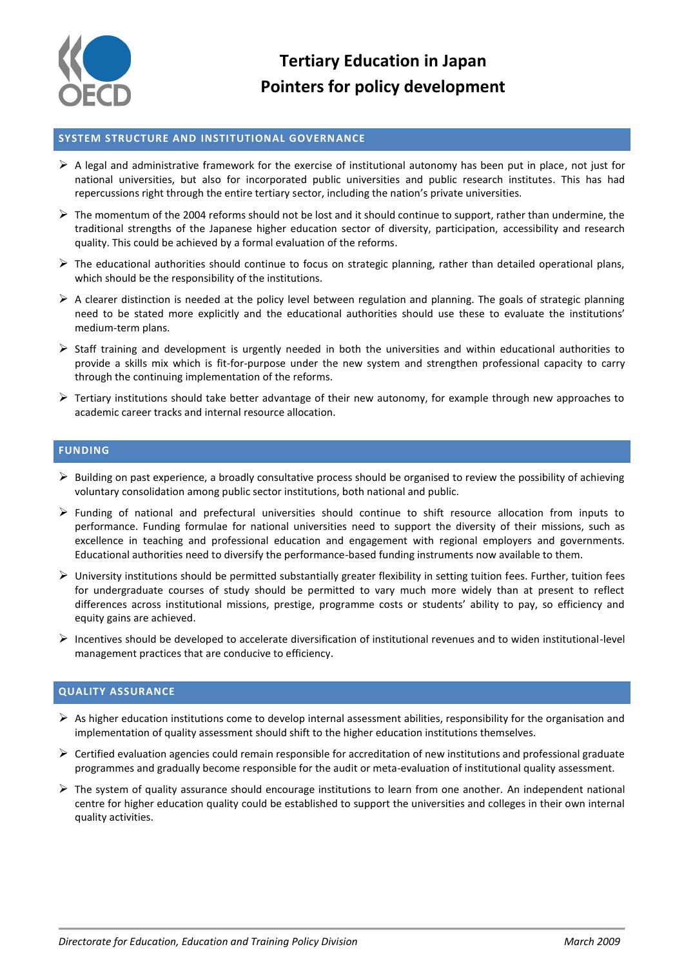

# **Tertiary Education in Japan Pointers for policy development**

## **SYSTEM STRUCTURE AND INSTITUTIONAL GOVERNANCE**

- $\triangleright$  A legal and administrative framework for the exercise of institutional autonomy has been put in place, not just for national universities, but also for incorporated public universities and public research institutes. This has had repercussions right through the entire tertiary sector, including the nation's private universities.
- $\triangleright$  The momentum of the 2004 reforms should not be lost and it should continue to support, rather than undermine, the traditional strengths of the Japanese higher education sector of diversity, participation, accessibility and research quality. This could be achieved by a formal evaluation of the reforms.
- $\triangleright$  The educational authorities should continue to focus on strategic planning, rather than detailed operational plans, which should be the responsibility of the institutions.
- $\triangleright$  A clearer distinction is needed at the policy level between regulation and planning. The goals of strategic planning need to be stated more explicitly and the educational authorities should use these to evaluate the institutions' medium-term plans.
- $\triangleright$  Staff training and development is urgently needed in both the universities and within educational authorities to provide a skills mix which is fit-for-purpose under the new system and strengthen professional capacity to carry through the continuing implementation of the reforms.
- $\triangleright$  Tertiary institutions should take better advantage of their new autonomy, for example through new approaches to academic career tracks and internal resource allocation.

### **FUNDING**

- $\triangleright$  Building on past experience, a broadly consultative process should be organised to review the possibility of achieving voluntary consolidation among public sector institutions, both national and public.
- $\triangleright$  Funding of national and prefectural universities should continue to shift resource allocation from inputs to performance. Funding formulae for national universities need to support the diversity of their missions, such as excellence in teaching and professional education and engagement with regional employers and governments. Educational authorities need to diversify the performance-based funding instruments now available to them.
- $\triangleright$  University institutions should be permitted substantially greater flexibility in setting tuition fees. Further, tuition fees for undergraduate courses of study should be permitted to vary much more widely than at present to reflect differences across institutional missions, prestige, programme costs or students' ability to pay, so efficiency and equity gains are achieved.
- $\triangleright$  Incentives should be developed to accelerate diversification of institutional revenues and to widen institutional-level management practices that are conducive to efficiency.

# **QUALITY ASSURANCE**

- $\triangleright$  As higher education institutions come to develop internal assessment abilities, responsibility for the organisation and implementation of quality assessment should shift to the higher education institutions themselves.
- $\triangleright$  Certified evaluation agencies could remain responsible for accreditation of new institutions and professional graduate programmes and gradually become responsible for the audit or meta-evaluation of institutional quality assessment.
- $\triangleright$  The system of quality assurance should encourage institutions to learn from one another. An independent national centre for higher education quality could be established to support the universities and colleges in their own internal quality activities.